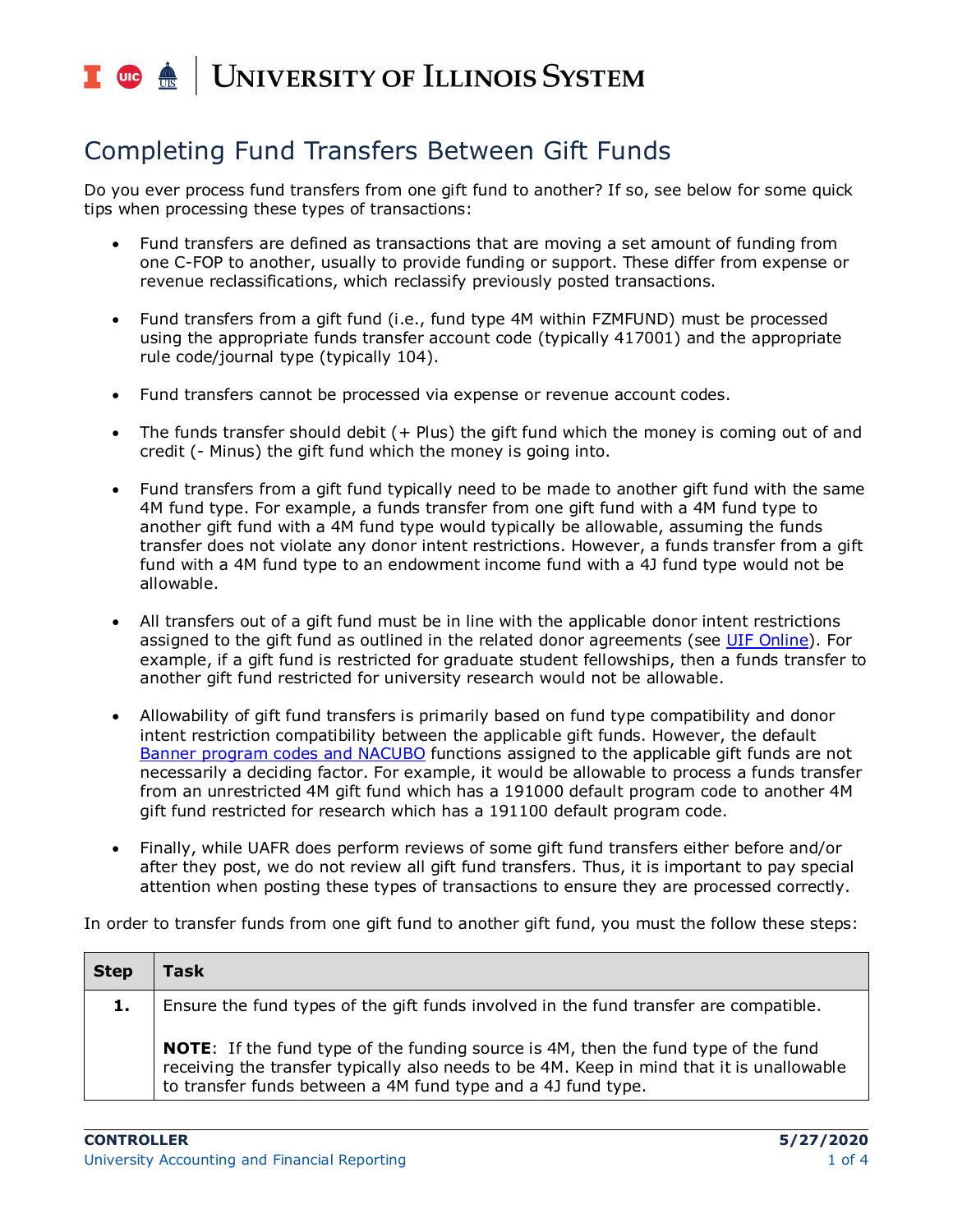### **UNIVERSITY OF ILLINOIS SYSTEM**  $\frac{1}{\sqrt{10}}$  or  $\frac{1}{\sqrt{10}}$

## Completing Fund Transfers Between Gift Funds

Do you ever process fund transfers from one gift fund to another? If so, see below for some quick tips when processing these types of transactions:

- Fund transfers are defined as transactions that are moving a set amount of funding from one C-FOP to another, usually to provide funding or support. These differ from expense or revenue reclassifications, which reclassify previously posted transactions.
- Fund transfers from a gift fund (i.e., fund type 4M within FZMFUND) must be processed using the appropriate funds transfer account code (typically 417001) and the appropriate rule code/journal type (typically 104).
- Fund transfers cannot be processed via expense or revenue account codes.
- The funds transfer should debit (+ Plus) the gift fund which the money is coming out of and credit (- Minus) the gift fund which the money is going into.
- Fund transfers from a gift fund typically need to be made to another gift fund with the same 4M fund type. For example, a funds transfer from one gift fund with a 4M fund type to another gift fund with a 4M fund type would typically be allowable, assuming the funds transfer does not violate any donor intent restrictions. However, a funds transfer from a gift fund with a 4M fund type to an endowment income fund with a 4J fund type would not be allowable.
- All transfers out of a gift fund must be in line with the applicable donor intent restrictions assigned to the gift fund as outlined in the related donor agreements (see [UIF Online\)](https://online.uif.uillinois.edu/). For example, if a gift fund is restricted for graduate student fellowships, then a funds transfer to another gift fund restricted for university research would not be allowable.
- Allowability of gift fund transfers is primarily based on fund type compatibility and donor intent restriction compatibility between the applicable gift funds. However, the default [Banner program codes and NACUBO](https://www.obfs.uillinois.edu/accounting-financial-reporting/banner-program-codes/) functions assigned to the applicable gift funds are not necessarily a deciding factor. For example, it would be allowable to process a funds transfer from an unrestricted 4M gift fund which has a 191000 default program code to another 4M gift fund restricted for research which has a 191100 default program code.
- Finally, while UAFR does perform reviews of some gift fund transfers either before and/or after they post, we do not review all gift fund transfers. Thus, it is important to pay special attention when posting these types of transactions to ensure they are processed correctly.

In order to transfer funds from one gift fund to another gift fund, you must the follow these steps:

| <b>Step</b> | Task                                                                                                                                                                                                                                                   |
|-------------|--------------------------------------------------------------------------------------------------------------------------------------------------------------------------------------------------------------------------------------------------------|
| 1.          | Ensure the fund types of the gift funds involved in the fund transfer are compatible.                                                                                                                                                                  |
|             | <b>NOTE:</b> If the fund type of the funding source is 4M, then the fund type of the fund<br>receiving the transfer typically also needs to be 4M. Keep in mind that it is unallowable<br>to transfer funds between a 4M fund type and a 4J fund type. |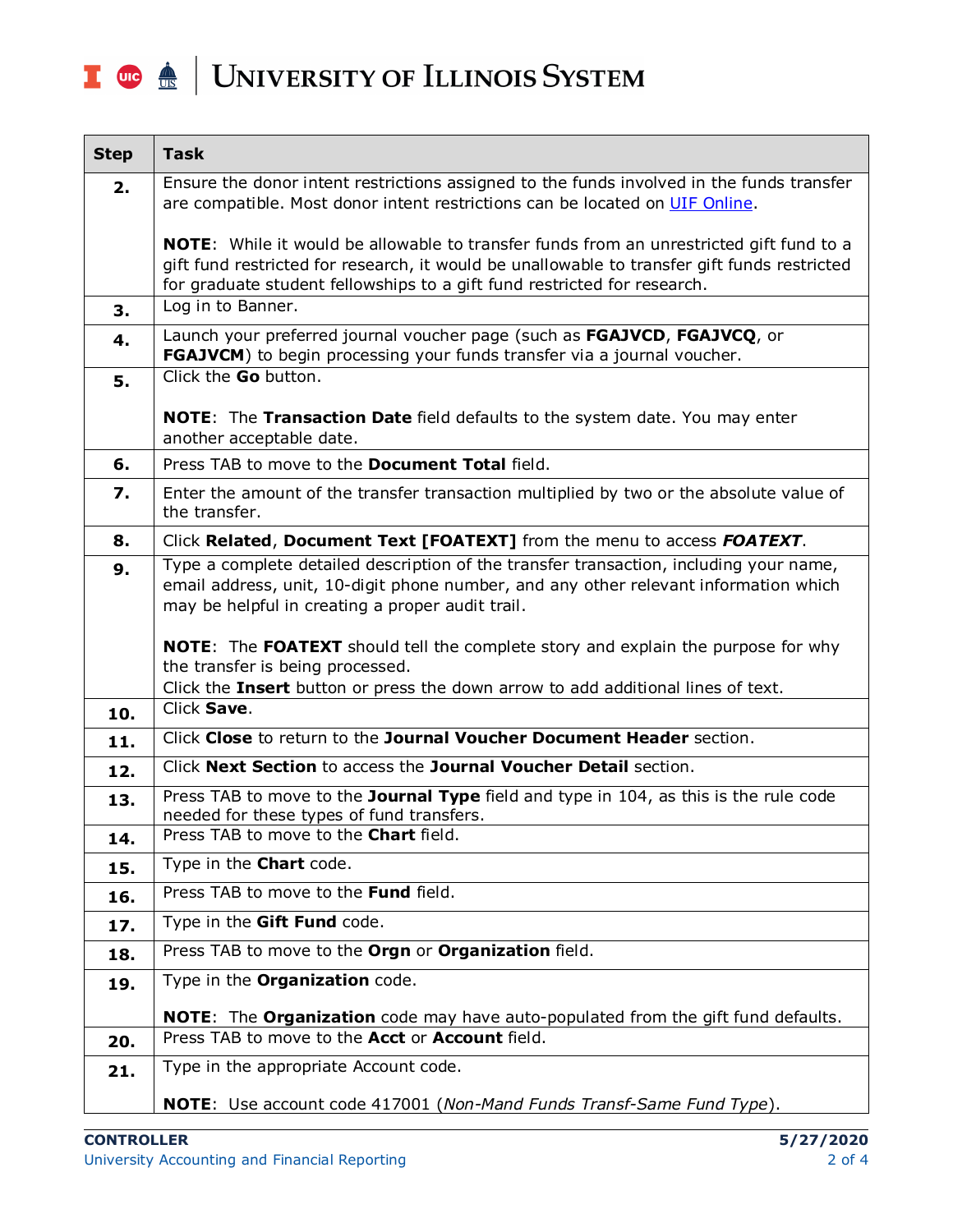# I **the Audit Section** UNIVERSITY OF ILLINOIS SYSTEM

| <b>Step</b> | <b>Task</b>                                                                                                                                                                                                                                                         |
|-------------|---------------------------------------------------------------------------------------------------------------------------------------------------------------------------------------------------------------------------------------------------------------------|
| 2.          | Ensure the donor intent restrictions assigned to the funds involved in the funds transfer<br>are compatible. Most donor intent restrictions can be located on UIF Online.                                                                                           |
|             | NOTE: While it would be allowable to transfer funds from an unrestricted gift fund to a<br>gift fund restricted for research, it would be unallowable to transfer gift funds restricted<br>for graduate student fellowships to a gift fund restricted for research. |
| 3.          | Log in to Banner.                                                                                                                                                                                                                                                   |
| 4.          | Launch your preferred journal voucher page (such as FGAJVCD, FGAJVCQ, or<br>FGAJVCM) to begin processing your funds transfer via a journal voucher.                                                                                                                 |
| 5.          | Click the <b>Go</b> button.                                                                                                                                                                                                                                         |
|             | <b>NOTE:</b> The Transaction Date field defaults to the system date. You may enter<br>another acceptable date.                                                                                                                                                      |
| 6.          | Press TAB to move to the <b>Document Total</b> field.                                                                                                                                                                                                               |
| 7.          | Enter the amount of the transfer transaction multiplied by two or the absolute value of<br>the transfer.                                                                                                                                                            |
| 8.          | Click Related, Document Text [FOATEXT] from the menu to access FOATEXT.                                                                                                                                                                                             |
| 9.          | Type a complete detailed description of the transfer transaction, including your name,<br>email address, unit, 10-digit phone number, and any other relevant information which<br>may be helpful in creating a proper audit trail.                                  |
|             | <b>NOTE:</b> The FOATEXT should tell the complete story and explain the purpose for why<br>the transfer is being processed.<br>Click the Insert button or press the down arrow to add additional lines of text.                                                     |
| 10.         | Click Save.                                                                                                                                                                                                                                                         |
| 11.         | Click Close to return to the Journal Voucher Document Header section.                                                                                                                                                                                               |
| 12.         | Click Next Section to access the Journal Voucher Detail section.                                                                                                                                                                                                    |
| 13.         | Press TAB to move to the Journal Type field and type in 104, as this is the rule code<br>needed for these types of fund transfers.                                                                                                                                  |
| 14.         | Press TAB to move to the Chart field.                                                                                                                                                                                                                               |
| 15.         | Type in the <b>Chart</b> code.                                                                                                                                                                                                                                      |
| 16.         | Press TAB to move to the Fund field.                                                                                                                                                                                                                                |
| 17.         | Type in the Gift Fund code.                                                                                                                                                                                                                                         |
| 18.         | Press TAB to move to the Orgn or Organization field.                                                                                                                                                                                                                |
| 19.         | Type in the <b>Organization</b> code.                                                                                                                                                                                                                               |
|             | NOTE: The Organization code may have auto-populated from the gift fund defaults.                                                                                                                                                                                    |
| 20.         | Press TAB to move to the <b>Acct</b> or <b>Account</b> field.                                                                                                                                                                                                       |
| 21.         | Type in the appropriate Account code.                                                                                                                                                                                                                               |
|             | <b>NOTE:</b> Use account code 417001 (Non-Mand Funds Transf-Same Fund Type).                                                                                                                                                                                        |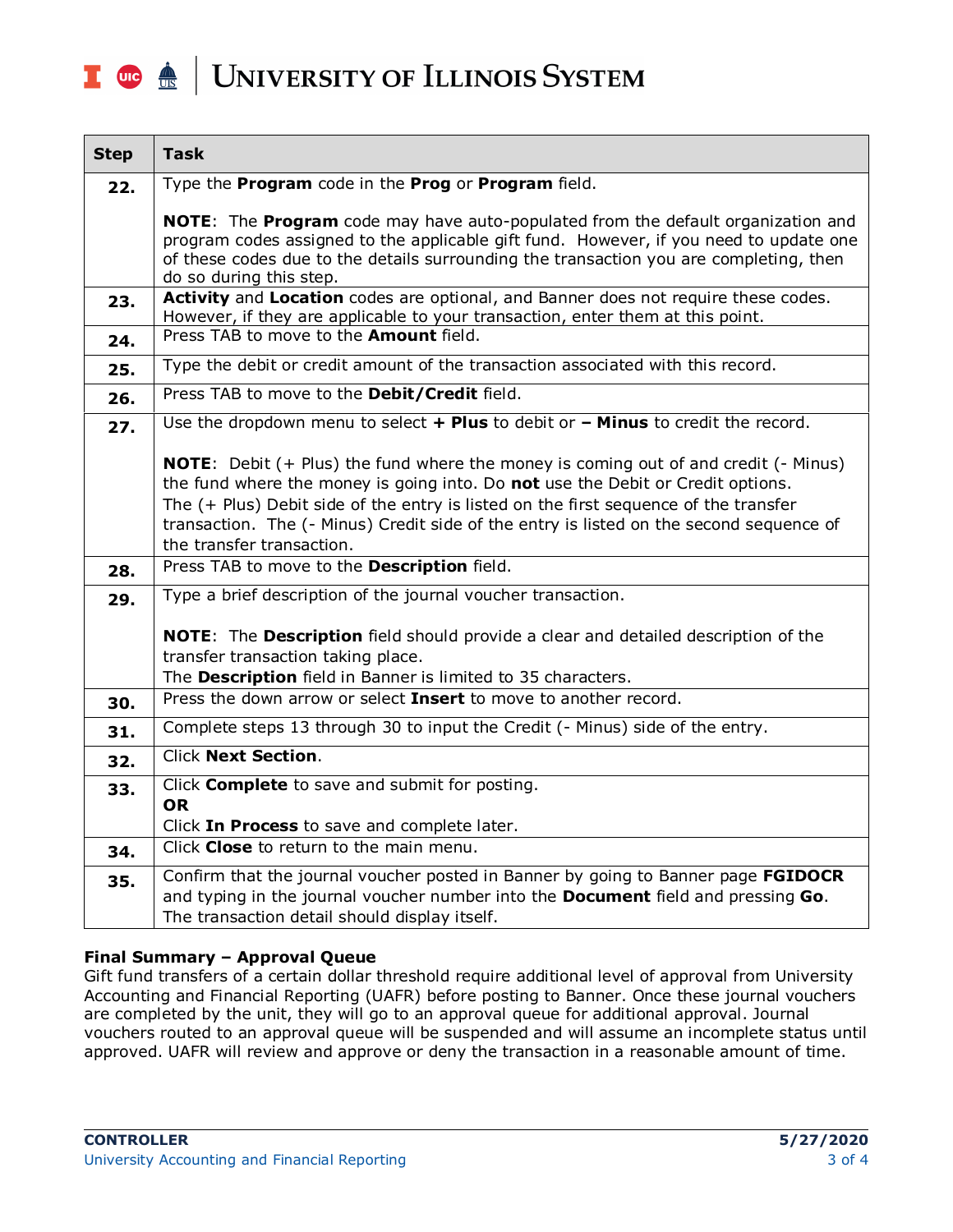#### UNIVERSITY OF ILLINOIS SYSTEM T due de

| <b>Step</b> | <b>Task</b>                                                                                                                                                                                                                                                                                                                                                                                         |
|-------------|-----------------------------------------------------------------------------------------------------------------------------------------------------------------------------------------------------------------------------------------------------------------------------------------------------------------------------------------------------------------------------------------------------|
| 22.         | Type the Program code in the Prog or Program field.                                                                                                                                                                                                                                                                                                                                                 |
|             | NOTE: The Program code may have auto-populated from the default organization and<br>program codes assigned to the applicable gift fund. However, if you need to update one<br>of these codes due to the details surrounding the transaction you are completing, then<br>do so during this step.                                                                                                     |
| 23.         | Activity and Location codes are optional, and Banner does not require these codes.<br>However, if they are applicable to your transaction, enter them at this point.                                                                                                                                                                                                                                |
| 24.         | Press TAB to move to the Amount field.                                                                                                                                                                                                                                                                                                                                                              |
| 25.         | Type the debit or credit amount of the transaction associated with this record.                                                                                                                                                                                                                                                                                                                     |
| 26.         | Press TAB to move to the Debit/Credit field.                                                                                                                                                                                                                                                                                                                                                        |
| 27.         | Use the dropdown menu to select + Plus to debit or - Minus to credit the record.                                                                                                                                                                                                                                                                                                                    |
|             | <b>NOTE:</b> Debit $(+)$ Plus) the fund where the money is coming out of and credit $(-)$ Minus)<br>the fund where the money is going into. Do not use the Debit or Credit options.<br>The (+ Plus) Debit side of the entry is listed on the first sequence of the transfer<br>transaction. The (- Minus) Credit side of the entry is listed on the second sequence of<br>the transfer transaction. |
| 28.         | Press TAB to move to the Description field.                                                                                                                                                                                                                                                                                                                                                         |
| 29.         | Type a brief description of the journal voucher transaction.                                                                                                                                                                                                                                                                                                                                        |
|             | NOTE: The Description field should provide a clear and detailed description of the<br>transfer transaction taking place.<br>The Description field in Banner is limited to 35 characters.                                                                                                                                                                                                            |
| 30.         | Press the down arrow or select Insert to move to another record.                                                                                                                                                                                                                                                                                                                                    |
| 31.         | Complete steps 13 through 30 to input the Credit (- Minus) side of the entry.                                                                                                                                                                                                                                                                                                                       |
| 32.         | <b>Click Next Section.</b>                                                                                                                                                                                                                                                                                                                                                                          |
| 33.         | Click Complete to save and submit for posting.<br><b>OR</b><br>Click In Process to save and complete later.                                                                                                                                                                                                                                                                                         |
| 34.         | Click Close to return to the main menu.                                                                                                                                                                                                                                                                                                                                                             |
| 35.         | Confirm that the journal voucher posted in Banner by going to Banner page FGIDOCR<br>and typing in the journal voucher number into the Document field and pressing Go.<br>The transaction detail should display itself.                                                                                                                                                                             |

#### **Final Summary – Approval Queue**

Gift fund transfers of a certain dollar threshold require additional level of approval from University Accounting and Financial Reporting (UAFR) before posting to Banner. Once these journal vouchers are completed by the unit, they will go to an approval queue for additional approval. Journal vouchers routed to an approval queue will be suspended and will assume an incomplete status until approved. UAFR will review and approve or deny the transaction in a reasonable amount of time.